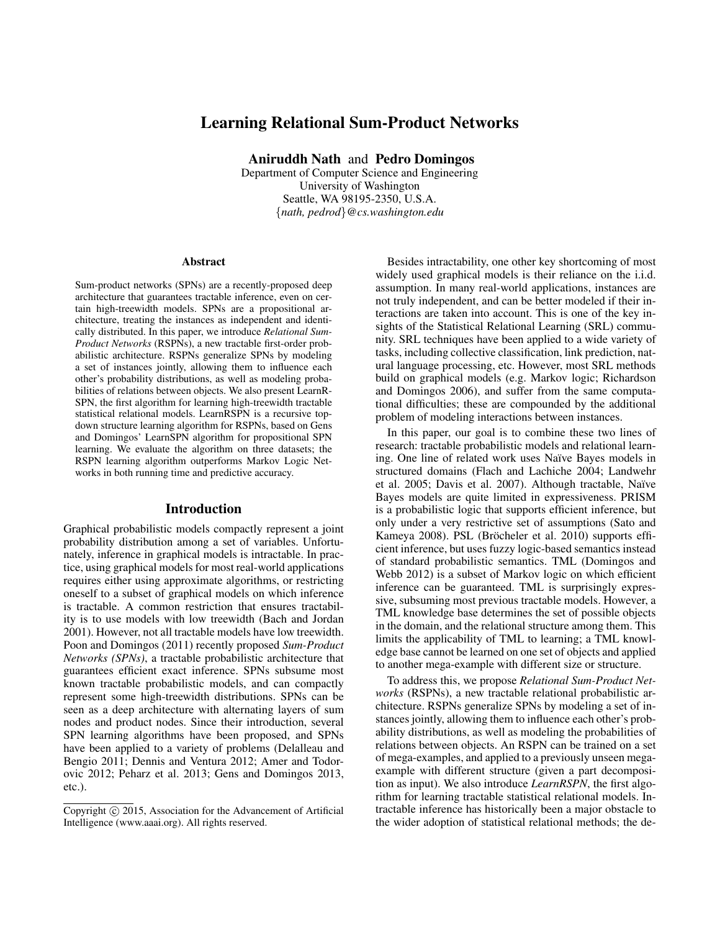# Learning Relational Sum-Product Networks

Aniruddh Nath and Pedro Domingos

Department of Computer Science and Engineering University of Washington Seattle, WA 98195-2350, U.S.A. {*nath, pedrod*}*@cs.washington.edu*

#### Abstract

Sum-product networks (SPNs) are a recently-proposed deep architecture that guarantees tractable inference, even on certain high-treewidth models. SPNs are a propositional architecture, treating the instances as independent and identically distributed. In this paper, we introduce *Relational Sum-Product Networks* (RSPNs), a new tractable first-order probabilistic architecture. RSPNs generalize SPNs by modeling a set of instances jointly, allowing them to influence each other's probability distributions, as well as modeling probabilities of relations between objects. We also present LearnR-SPN, the first algorithm for learning high-treewidth tractable statistical relational models. LearnRSPN is a recursive topdown structure learning algorithm for RSPNs, based on Gens and Domingos' LearnSPN algorithm for propositional SPN learning. We evaluate the algorithm on three datasets; the RSPN learning algorithm outperforms Markov Logic Networks in both running time and predictive accuracy.

#### Introduction

Graphical probabilistic models compactly represent a joint probability distribution among a set of variables. Unfortunately, inference in graphical models is intractable. In practice, using graphical models for most real-world applications requires either using approximate algorithms, or restricting oneself to a subset of graphical models on which inference is tractable. A common restriction that ensures tractability is to use models with low treewidth (Bach and Jordan 2001). However, not all tractable models have low treewidth. Poon and Domingos (2011) recently proposed *Sum-Product Networks (SPNs)*, a tractable probabilistic architecture that guarantees efficient exact inference. SPNs subsume most known tractable probabilistic models, and can compactly represent some high-treewidth distributions. SPNs can be seen as a deep architecture with alternating layers of sum nodes and product nodes. Since their introduction, several SPN learning algorithms have been proposed, and SPNs have been applied to a variety of problems (Delalleau and Bengio 2011; Dennis and Ventura 2012; Amer and Todorovic 2012; Peharz et al. 2013; Gens and Domingos 2013, etc.).

Besides intractability, one other key shortcoming of most widely used graphical models is their reliance on the i.i.d. assumption. In many real-world applications, instances are not truly independent, and can be better modeled if their interactions are taken into account. This is one of the key insights of the Statistical Relational Learning (SRL) community. SRL techniques have been applied to a wide variety of tasks, including collective classification, link prediction, natural language processing, etc. However, most SRL methods build on graphical models (e.g. Markov logic; Richardson and Domingos 2006), and suffer from the same computational difficulties; these are compounded by the additional problem of modeling interactions between instances.

In this paper, our goal is to combine these two lines of research: tractable probabilistic models and relational learning. One line of related work uses Naïve Bayes models in structured domains (Flach and Lachiche 2004; Landwehr et al. 2005; Davis et al. 2007). Although tractable, Naïve Bayes models are quite limited in expressiveness. PRISM is a probabilistic logic that supports efficient inference, but only under a very restrictive set of assumptions (Sato and Kameya 2008). PSL (Bröcheler et al. 2010) supports efficient inference, but uses fuzzy logic-based semantics instead of standard probabilistic semantics. TML (Domingos and Webb 2012) is a subset of Markov logic on which efficient inference can be guaranteed. TML is surprisingly expressive, subsuming most previous tractable models. However, a TML knowledge base determines the set of possible objects in the domain, and the relational structure among them. This limits the applicability of TML to learning; a TML knowledge base cannot be learned on one set of objects and applied to another mega-example with different size or structure.

To address this, we propose *Relational Sum-Product Networks* (RSPNs), a new tractable relational probabilistic architecture. RSPNs generalize SPNs by modeling a set of instances jointly, allowing them to influence each other's probability distributions, as well as modeling the probabilities of relations between objects. An RSPN can be trained on a set of mega-examples, and applied to a previously unseen megaexample with different structure (given a part decomposition as input). We also introduce *LearnRSPN*, the first algorithm for learning tractable statistical relational models. Intractable inference has historically been a major obstacle to the wider adoption of statistical relational methods; the de-

Copyright (c) 2015, Association for the Advancement of Artificial Intelligence (www.aaai.org). All rights reserved.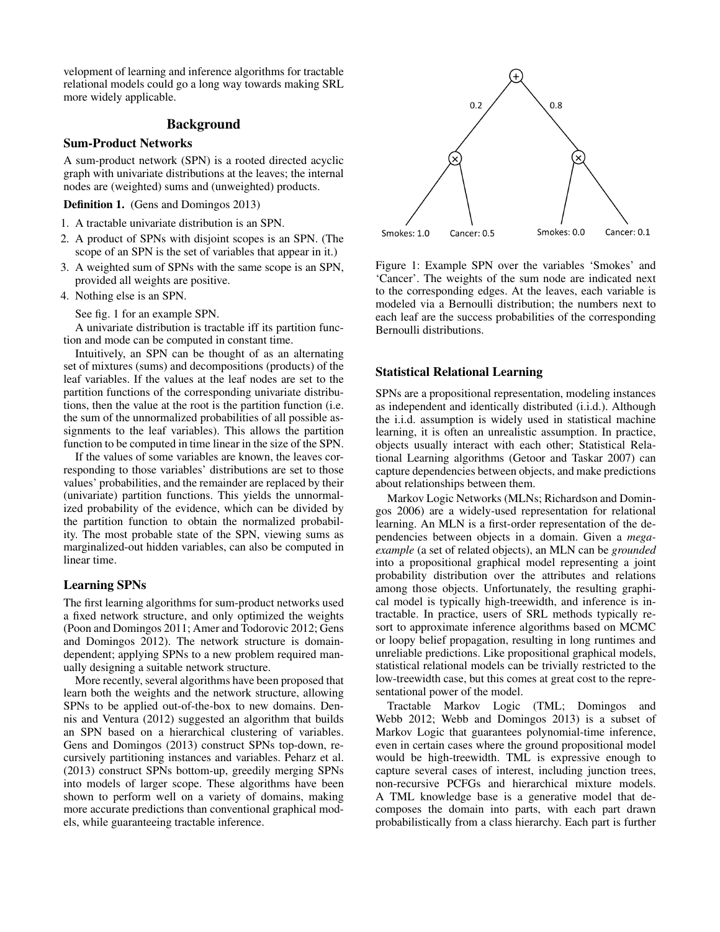velopment of learning and inference algorithms for tractable relational models could go a long way towards making SRL more widely applicable.

### Background

# Sum-Product Networks

A sum-product network (SPN) is a rooted directed acyclic graph with univariate distributions at the leaves; the internal nodes are (weighted) sums and (unweighted) products.

Definition 1. (Gens and Domingos 2013)

- 1. A tractable univariate distribution is an SPN.
- 2. A product of SPNs with disjoint scopes is an SPN. (The scope of an SPN is the set of variables that appear in it.)
- 3. A weighted sum of SPNs with the same scope is an SPN, provided all weights are positive.
- 4. Nothing else is an SPN.

See fig. 1 for an example SPN.

A univariate distribution is tractable iff its partition function and mode can be computed in constant time.

Intuitively, an SPN can be thought of as an alternating set of mixtures (sums) and decompositions (products) of the leaf variables. If the values at the leaf nodes are set to the partition functions of the corresponding univariate distributions, then the value at the root is the partition function (i.e. the sum of the unnormalized probabilities of all possible assignments to the leaf variables). This allows the partition function to be computed in time linear in the size of the SPN.

If the values of some variables are known, the leaves corresponding to those variables' distributions are set to those values' probabilities, and the remainder are replaced by their (univariate) partition functions. This yields the unnormalized probability of the evidence, which can be divided by the partition function to obtain the normalized probability. The most probable state of the SPN, viewing sums as marginalized-out hidden variables, can also be computed in linear time.

# Learning SPNs

The first learning algorithms for sum-product networks used a fixed network structure, and only optimized the weights (Poon and Domingos 2011; Amer and Todorovic 2012; Gens and Domingos 2012). The network structure is domaindependent; applying SPNs to a new problem required manually designing a suitable network structure.

More recently, several algorithms have been proposed that learn both the weights and the network structure, allowing SPNs to be applied out-of-the-box to new domains. Dennis and Ventura (2012) suggested an algorithm that builds an SPN based on a hierarchical clustering of variables. Gens and Domingos (2013) construct SPNs top-down, recursively partitioning instances and variables. Peharz et al. (2013) construct SPNs bottom-up, greedily merging SPNs into models of larger scope. These algorithms have been shown to perform well on a variety of domains, making more accurate predictions than conventional graphical models, while guaranteeing tractable inference.



Figure 1: Example SPN over the variables 'Smokes' and 'Cancer'. The weights of the sum node are indicated next to the corresponding edges. At the leaves, each variable is modeled via a Bernoulli distribution; the numbers next to each leaf are the success probabilities of the corresponding Bernoulli distributions.

### Statistical Relational Learning

SPNs are a propositional representation, modeling instances as independent and identically distributed (i.i.d.). Although the i.i.d. assumption is widely used in statistical machine learning, it is often an unrealistic assumption. In practice, objects usually interact with each other; Statistical Relational Learning algorithms (Getoor and Taskar 2007) can capture dependencies between objects, and make predictions about relationships between them.

Markov Logic Networks (MLNs; Richardson and Domingos 2006) are a widely-used representation for relational learning. An MLN is a first-order representation of the dependencies between objects in a domain. Given a *megaexample* (a set of related objects), an MLN can be *grounded* into a propositional graphical model representing a joint probability distribution over the attributes and relations among those objects. Unfortunately, the resulting graphical model is typically high-treewidth, and inference is intractable. In practice, users of SRL methods typically resort to approximate inference algorithms based on MCMC or loopy belief propagation, resulting in long runtimes and unreliable predictions. Like propositional graphical models, statistical relational models can be trivially restricted to the low-treewidth case, but this comes at great cost to the representational power of the model.

Tractable Markov Logic (TML; Domingos and Webb 2012; Webb and Domingos 2013) is a subset of Markov Logic that guarantees polynomial-time inference, even in certain cases where the ground propositional model would be high-treewidth. TML is expressive enough to capture several cases of interest, including junction trees, non-recursive PCFGs and hierarchical mixture models. A TML knowledge base is a generative model that decomposes the domain into parts, with each part drawn probabilistically from a class hierarchy. Each part is further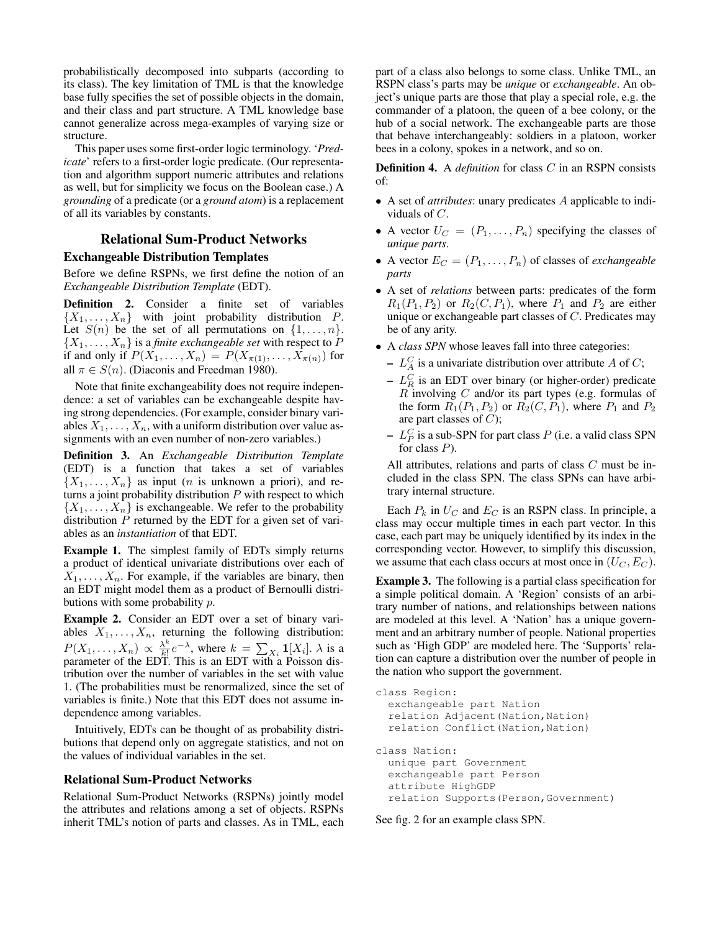probabilistically decomposed into subparts (according to its class). The key limitation of TML is that the knowledge base fully specifies the set of possible objects in the domain, and their class and part structure. A TML knowledge base cannot generalize across mega-examples of varying size or structure.

This paper uses some first-order logic terminology. '*Predicate*' refers to a first-order logic predicate. (Our representation and algorithm support numeric attributes and relations as well, but for simplicity we focus on the Boolean case.) A *grounding* of a predicate (or a *ground atom*) is a replacement of all its variables by constants.

### Relational Sum-Product Networks

### Exchangeable Distribution Templates

Before we define RSPNs, we first define the notion of an *Exchangeable Distribution Template* (EDT).

Definition 2. Consider a finite set of variables  $\{X_1, \ldots, X_n\}$  with joint probability distribution P. Let  $S(n)$  be the set of all permutations on  $\{1, \ldots, n\}$ .  $\{X_1, \ldots, X_n\}$  is a *finite exchangeable set* with respect to  $P$ if and only if  $P(X_1, \ldots, X_n) = P(X_{\pi(1)}, \ldots, X_{\pi(n)})$  for all  $\pi \in S(n)$ . (Diaconis and Freedman 1980).

Note that finite exchangeability does not require independence: a set of variables can be exchangeable despite having strong dependencies. (For example, consider binary variables  $X_1, \ldots, X_n$ , with a uniform distribution over value assignments with an even number of non-zero variables.)

Definition 3. An *Exchangeable Distribution Template* (EDT) is a function that takes a set of variables  $\{X_1, \ldots, X_n\}$  as input (*n* is unknown a priori), and returns a joint probability distribution  $P$  with respect to which  $\{X_1, \ldots, X_n\}$  is exchangeable. We refer to the probability distribution  $P$  returned by the EDT for a given set of variables as an *instantiation* of that EDT.

Example 1. The simplest family of EDTs simply returns a product of identical univariate distributions over each of  $X_1, \ldots, X_n$ . For example, if the variables are binary, then an EDT might model them as a product of Bernoulli distributions with some probability p.

Example 2. Consider an EDT over a set of binary variables  $X_1, \ldots, X_n$ , returning the following distribution:  $P(X_1,\ldots,X_n) \propto \frac{\lambda^k}{k!}$  $\frac{\lambda^k}{k!}e^{-\lambda}$ , where  $k = \sum_{X_i} \mathbf{1}[X_i]$ .  $\lambda$  is a parameter of the EDT. This is an EDT with a Poisson distribution over the number of variables in the set with value 1. (The probabilities must be renormalized, since the set of variables is finite.) Note that this EDT does not assume independence among variables.

Intuitively, EDTs can be thought of as probability distributions that depend only on aggregate statistics, and not on the values of individual variables in the set.

#### Relational Sum-Product Networks

Relational Sum-Product Networks (RSPNs) jointly model the attributes and relations among a set of objects. RSPNs inherit TML's notion of parts and classes. As in TML, each

part of a class also belongs to some class. Unlike TML, an RSPN class's parts may be *unique* or *exchangeable*. An object's unique parts are those that play a special role, e.g. the commander of a platoon, the queen of a bee colony, or the hub of a social network. The exchangeable parts are those that behave interchangeably: soldiers in a platoon, worker bees in a colony, spokes in a network, and so on.

Definition 4. A *definition* for class C in an RSPN consists of:

- A set of *attributes*: unary predicates A applicable to individuals of C.
- A vector  $U_C = (P_1, \ldots, P_n)$  specifying the classes of *unique parts*.
- A vector  $E_C = (P_1, \ldots, P_n)$  of classes of *exchangeable parts*
- A set of *relations* between parts: predicates of the form  $R_1(P_1, P_2)$  or  $R_2(C, P_1)$ , where  $P_1$  and  $P_2$  are either unique or exchangeable part classes of C. Predicates may be of any arity.
- A *class SPN* whose leaves fall into three categories:
	- $L_A^C$  is a univariate distribution over attribute A of C;
	- $-L_R^C$  is an EDT over binary (or higher-order) predicate  $R$  involving  $C$  and/or its part types (e.g. formulas of the form  $R_1(P_1, P_2)$  or  $R_2(C, P_1)$ , where  $P_1$  and  $P_2$ are part classes of  $C$ );
	- $L<sub>P</sub><sup>C</sup>$  is a sub-SPN for part class  $P$  (i.e. a valid class SPN for class  $P$ ).

All attributes, relations and parts of class C must be included in the class SPN. The class SPNs can have arbitrary internal structure.

Each  $P_k$  in  $U_C$  and  $E_C$  is an RSPN class. In principle, a class may occur multiple times in each part vector. In this case, each part may be uniquely identified by its index in the corresponding vector. However, to simplify this discussion, we assume that each class occurs at most once in  $(U_C, E_C)$ .

Example 3. The following is a partial class specification for a simple political domain. A 'Region' consists of an arbitrary number of nations, and relationships between nations are modeled at this level. A 'Nation' has a unique government and an arbitrary number of people. National properties such as 'High GDP' are modeled here. The 'Supports' relation can capture a distribution over the number of people in the nation who support the government.

```
class Region:
  exchangeable part Nation
  relation Adjacent (Nation, Nation)
  relation Conflict (Nation, Nation)
class Nation:
  unique part Government
  exchangeable part Person
  attribute HighGDP
  relation Supports(Person,Government)
```
See fig. 2 for an example class SPN.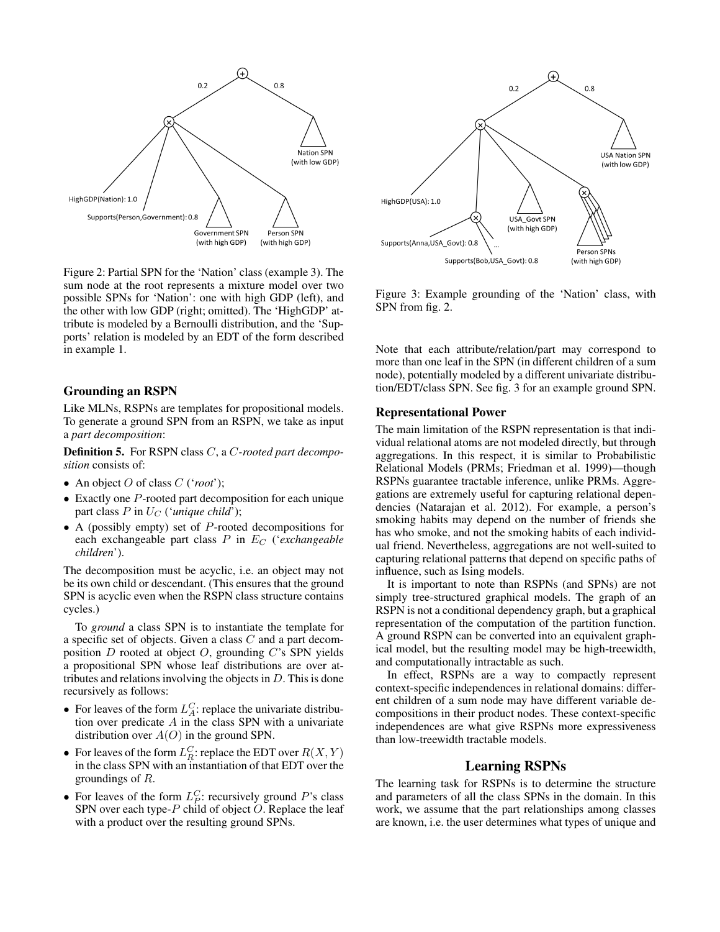

Figure 2: Partial SPN for the 'Nation' class (example 3). The sum node at the root represents a mixture model over two possible SPNs for 'Nation': one with high GDP (left), and the other with low GDP (right; omitted). The 'HighGDP' attribute is modeled by a Bernoulli distribution, and the 'Supports' relation is modeled by an EDT of the form described in example 1.

### Grounding an RSPN

Like MLNs, RSPNs are templates for propositional models. To generate a ground SPN from an RSPN, we take as input a *part decomposition*:

Definition 5. For RSPN class C, a C*-rooted part decomposition* consists of:

- An object O of class C ('*root*');
- Exactly one P-rooted part decomposition for each unique part class  $P$  in  $U_C$  (*'unique child'*);
- A (possibly empty) set of  $P$ -rooted decompositions for each exchangeable part class  $P$  in  $E_C$  (*'exchangeable children*').

The decomposition must be acyclic, i.e. an object may not be its own child or descendant. (This ensures that the ground SPN is acyclic even when the RSPN class structure contains cycles.)

To *ground* a class SPN is to instantiate the template for a specific set of objects. Given a class C and a part decomposition  $D$  rooted at object  $O$ , grounding  $C$ 's SPN yields a propositional SPN whose leaf distributions are over attributes and relations involving the objects in  $D$ . This is done recursively as follows:

- For leaves of the form  $L_A^C$ : replace the univariate distribution over predicate  $A$  in the class SPN with a univariate distribution over  $A(O)$  in the ground SPN.
- For leaves of the form  $L_R^C$ : replace the EDT over  $R(X, Y)$ in the class SPN with an instantiation of that EDT over the groundings of R.
- For leaves of the form  $L_P^C$ : recursively ground P's class SPN over each type- $P$  child of object  $O$ . Replace the leaf with a product over the resulting ground SPNs.



Figure 3: Example grounding of the 'Nation' class, with SPN from fig. 2.

Note that each attribute/relation/part may correspond to more than one leaf in the SPN (in different children of a sum node), potentially modeled by a different univariate distribution/EDT/class SPN. See fig. 3 for an example ground SPN.

#### Representational Power

The main limitation of the RSPN representation is that individual relational atoms are not modeled directly, but through aggregations. In this respect, it is similar to Probabilistic Relational Models (PRMs; Friedman et al. 1999)—though RSPNs guarantee tractable inference, unlike PRMs. Aggregations are extremely useful for capturing relational dependencies (Natarajan et al. 2012). For example, a person's smoking habits may depend on the number of friends she has who smoke, and not the smoking habits of each individual friend. Nevertheless, aggregations are not well-suited to capturing relational patterns that depend on specific paths of influence, such as Ising models.

It is important to note than RSPNs (and SPNs) are not simply tree-structured graphical models. The graph of an RSPN is not a conditional dependency graph, but a graphical representation of the computation of the partition function. A ground RSPN can be converted into an equivalent graphical model, but the resulting model may be high-treewidth, and computationally intractable as such.

In effect, RSPNs are a way to compactly represent context-specific independences in relational domains: different children of a sum node may have different variable decompositions in their product nodes. These context-specific independences are what give RSPNs more expressiveness than low-treewidth tractable models.

### Learning RSPNs

The learning task for RSPNs is to determine the structure and parameters of all the class SPNs in the domain. In this work, we assume that the part relationships among classes are known, i.e. the user determines what types of unique and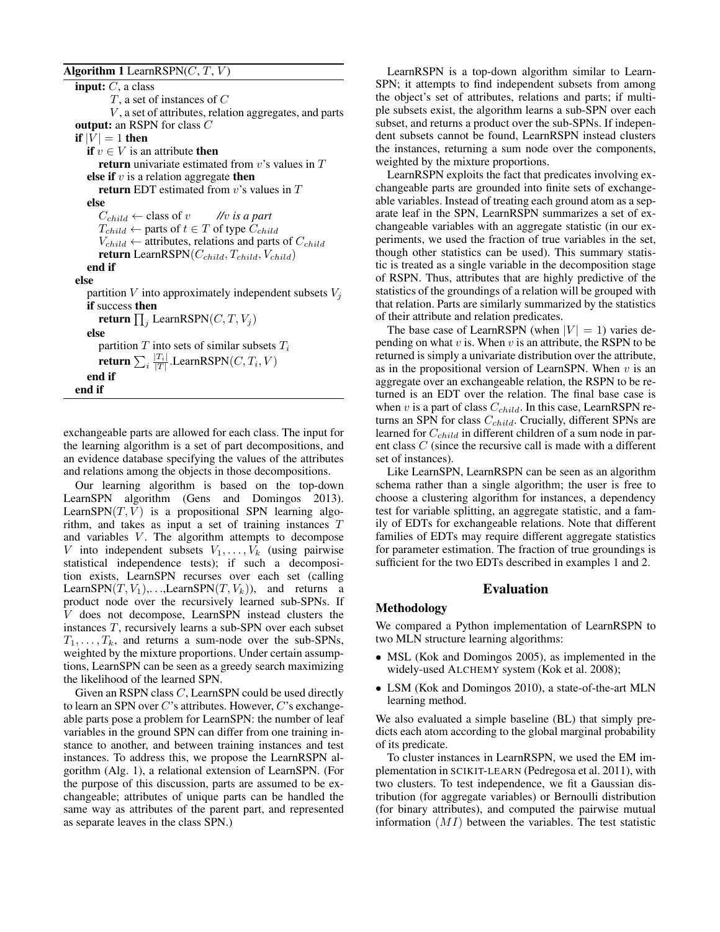### Algorithm 1 LearnRSPN $(C, T, V)$

**input:**  $C$ , a class  $T$ , a set of instances of  $C$  $V$ , a set of attributes, relation aggregates, and parts output: an RSPN for class C if  $|V| = 1$  then **if**  $v \in V$  is an attribute **then** return univariate estimated from  $v$ 's values in  $T$ else if  $v$  is a relation aggregate then return EDT estimated from  $v$ 's values in  $T$ else  $C_{child} \leftarrow$  class of  $v$  //v is a part  $T_{child} \leftarrow$  parts of  $t \in T$  of type  $C_{child}$  $V_{child} \leftarrow$  attributes, relations and parts of  $C_{child}$ return LearnRSPN $(C_{child}, T_{child}, V_{child})$ end if else partition  $V$  into approximately independent subsets  $V_i$ if success then return  $\prod_j$  LearnRSPN $(C, T, V_j)$ else partition  $T$  into sets of similar subsets  $T_i$ return  $\sum_i \frac{|T_i|}{|T|}$ .LearnRSPN $(C, T_i, V)$ end if end if

exchangeable parts are allowed for each class. The input for the learning algorithm is a set of part decompositions, and an evidence database specifying the values of the attributes and relations among the objects in those decompositions.

Our learning algorithm is based on the top-down LearnSPN algorithm (Gens and Domingos 2013). LearnSPN $(T, V)$  is a propositional SPN learning algorithm, and takes as input a set of training instances T and variables  $V$ . The algorithm attempts to decompose V into independent subsets  $V_1, \ldots, V_k$  (using pairwise statistical independence tests); if such a decomposition exists, LearnSPN recurses over each set (calling LearnSPN(T,  $V_1$ ),...,LearnSPN(T,  $V_k$ )), and returns a product node over the recursively learned sub-SPNs. If V does not decompose, LearnSPN instead clusters the instances T, recursively learns a sub-SPN over each subset  $T_1, \ldots, T_k$ , and returns a sum-node over the sub-SPNs, weighted by the mixture proportions. Under certain assumptions, LearnSPN can be seen as a greedy search maximizing the likelihood of the learned SPN.

Given an RSPN class C, LearnSPN could be used directly to learn an SPN over  $C$ 's attributes. However,  $C$ 's exchangeable parts pose a problem for LearnSPN: the number of leaf variables in the ground SPN can differ from one training instance to another, and between training instances and test instances. To address this, we propose the LearnRSPN algorithm (Alg. 1), a relational extension of LearnSPN. (For the purpose of this discussion, parts are assumed to be exchangeable; attributes of unique parts can be handled the same way as attributes of the parent part, and represented as separate leaves in the class SPN.)

LearnRSPN is a top-down algorithm similar to Learn-SPN; it attempts to find independent subsets from among the object's set of attributes, relations and parts; if multiple subsets exist, the algorithm learns a sub-SPN over each subset, and returns a product over the sub-SPNs. If independent subsets cannot be found, LearnRSPN instead clusters the instances, returning a sum node over the components, weighted by the mixture proportions.

LearnRSPN exploits the fact that predicates involving exchangeable parts are grounded into finite sets of exchangeable variables. Instead of treating each ground atom as a separate leaf in the SPN, LearnRSPN summarizes a set of exchangeable variables with an aggregate statistic (in our experiments, we used the fraction of true variables in the set, though other statistics can be used). This summary statistic is treated as a single variable in the decomposition stage of RSPN. Thus, attributes that are highly predictive of the statistics of the groundings of a relation will be grouped with that relation. Parts are similarly summarized by the statistics of their attribute and relation predicates.

The base case of LearnRSPN (when  $|V| = 1$ ) varies depending on what  $v$  is. When  $v$  is an attribute, the RSPN to be returned is simply a univariate distribution over the attribute, as in the propositional version of LearnSPN. When  $v$  is an aggregate over an exchangeable relation, the RSPN to be returned is an EDT over the relation. The final base case is when  $v$  is a part of class  $C_{child}$ . In this case, LearnRSPN returns an SPN for class  $C_{child}$ . Crucially, different SPNs are learned for  $C_{child}$  in different children of a sum node in parent class C (since the recursive call is made with a different set of instances).

Like LearnSPN, LearnRSPN can be seen as an algorithm schema rather than a single algorithm; the user is free to choose a clustering algorithm for instances, a dependency test for variable splitting, an aggregate statistic, and a family of EDTs for exchangeable relations. Note that different families of EDTs may require different aggregate statistics for parameter estimation. The fraction of true groundings is sufficient for the two EDTs described in examples 1 and 2.

#### Evaluation

### Methodology

We compared a Python implementation of LearnRSPN to two MLN structure learning algorithms:

- MSL (Kok and Domingos 2005), as implemented in the widely-used ALCHEMY system (Kok et al. 2008);
- LSM (Kok and Domingos 2010), a state-of-the-art MLN learning method.

We also evaluated a simple baseline (BL) that simply predicts each atom according to the global marginal probability of its predicate.

To cluster instances in LearnRSPN, we used the EM implementation in SCIKIT-LEARN (Pedregosa et al. 2011), with two clusters. To test independence, we fit a Gaussian distribution (for aggregate variables) or Bernoulli distribution (for binary attributes), and computed the pairwise mutual information  $(MI)$  between the variables. The test statistic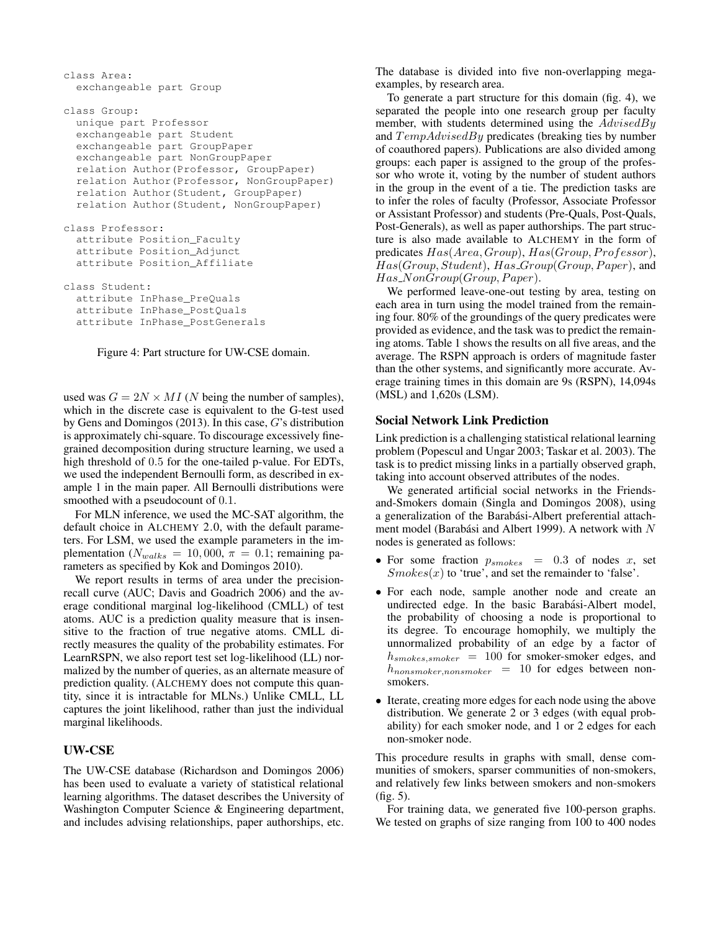```
class Area:
  exchangeable part Group
class Group:
  unique part Professor
  exchangeable part Student
  exchangeable part GroupPaper
  exchangeable part NonGroupPaper
  relation Author(Professor, GroupPaper)
  relation Author(Professor, NonGroupPaper)
  relation Author(Student, GroupPaper)
  relation Author(Student, NonGroupPaper)
class Professor:
  attribute Position_Faculty
  attribute Position_Adjunct
  attribute Position_Affiliate
class Student:
  attribute InPhase_PreQuals
  attribute InPhase_PostQuals
  attribute InPhase_PostGenerals
```
Figure 4: Part structure for UW-CSE domain.

used was  $G = 2N \times MI$  (N being the number of samples), which in the discrete case is equivalent to the G-test used by Gens and Domingos (2013). In this case, G's distribution is approximately chi-square. To discourage excessively finegrained decomposition during structure learning, we used a high threshold of 0.5 for the one-tailed p-value. For EDTs, we used the independent Bernoulli form, as described in example 1 in the main paper. All Bernoulli distributions were smoothed with a pseudocount of 0.1.

For MLN inference, we used the MC-SAT algorithm, the default choice in ALCHEMY 2.0, with the default parameters. For LSM, we used the example parameters in the implementation ( $N_{walks} = 10,000$ ,  $\pi = 0.1$ ; remaining parameters as specified by Kok and Domingos 2010).

We report results in terms of area under the precisionrecall curve (AUC; Davis and Goadrich 2006) and the average conditional marginal log-likelihood (CMLL) of test atoms. AUC is a prediction quality measure that is insensitive to the fraction of true negative atoms. CMLL directly measures the quality of the probability estimates. For LearnRSPN, we also report test set log-likelihood (LL) normalized by the number of queries, as an alternate measure of prediction quality. (ALCHEMY does not compute this quantity, since it is intractable for MLNs.) Unlike CMLL, LL captures the joint likelihood, rather than just the individual marginal likelihoods.

# UW-CSE

The UW-CSE database (Richardson and Domingos 2006) has been used to evaluate a variety of statistical relational learning algorithms. The dataset describes the University of Washington Computer Science & Engineering department, and includes advising relationships, paper authorships, etc.

The database is divided into five non-overlapping megaexamples, by research area.

To generate a part structure for this domain (fig. 4), we separated the people into one research group per faculty member, with students determined using the  $AdvisedBy$ and  $TempAdvisedBy$  predicates (breaking ties by number of coauthored papers). Publications are also divided among groups: each paper is assigned to the group of the professor who wrote it, voting by the number of student authors in the group in the event of a tie. The prediction tasks are to infer the roles of faculty (Professor, Associate Professor or Assistant Professor) and students (Pre-Quals, Post-Quals, Post-Generals), as well as paper authorships. The part structure is also made available to ALCHEMY in the form of predicates  $Has(Area, Group), Has(Group, Professor),$  $Has(Group, Student), Has\_Group(Group, Paper),$  and  $Has_N on Group (Group, Paper).$ 

We performed leave-one-out testing by area, testing on each area in turn using the model trained from the remaining four. 80% of the groundings of the query predicates were provided as evidence, and the task was to predict the remaining atoms. Table 1 shows the results on all five areas, and the average. The RSPN approach is orders of magnitude faster than the other systems, and significantly more accurate. Average training times in this domain are 9s (RSPN), 14,094s (MSL) and 1,620s (LSM).

# Social Network Link Prediction

Link prediction is a challenging statistical relational learning problem (Popescul and Ungar 2003; Taskar et al. 2003). The task is to predict missing links in a partially observed graph, taking into account observed attributes of the nodes.

We generated artificial social networks in the Friendsand-Smokers domain (Singla and Domingos 2008), using a generalization of the Barabási-Albert preferential attachment model (Barabási and Albert 1999). A network with  $N$ nodes is generated as follows:

- For some fraction  $p_{smokes} = 0.3$  of nodes x, set  $Smokes(x)$  to 'true', and set the remainder to 'false'.
- For each node, sample another node and create an undirected edge. In the basic Barabási-Albert model, the probability of choosing a node is proportional to its degree. To encourage homophily, we multiply the unnormalized probability of an edge by a factor of  $h_{smokes,smoker}$  = 100 for smoker-smoker edges, and  $h_{nonsmoker,nonsmoker}$  = 10 for edges between nonsmokers.
- Iterate, creating more edges for each node using the above distribution. We generate 2 or 3 edges (with equal probability) for each smoker node, and 1 or 2 edges for each non-smoker node.

This procedure results in graphs with small, dense communities of smokers, sparser communities of non-smokers, and relatively few links between smokers and non-smokers (fig. 5).

For training data, we generated five 100-person graphs. We tested on graphs of size ranging from 100 to 400 nodes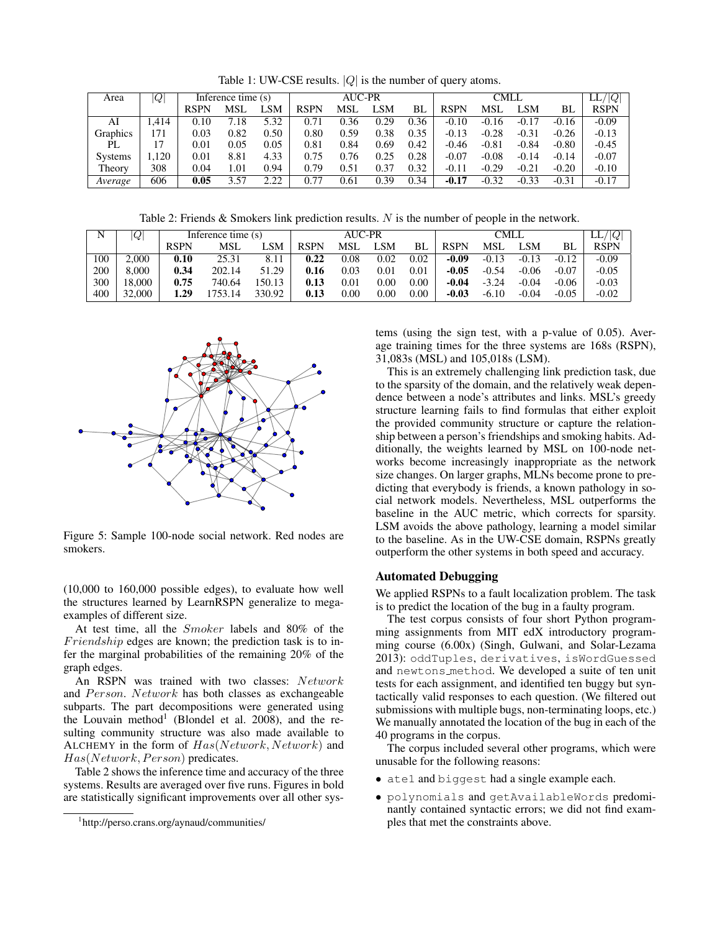Table 1: UW-CSE results.  $|Q|$  is the number of query atoms.

| Area           | Q    | Inference time (s) |      |      |             | <b>AUC-PR</b> |      |      |             | LL/ Q      |         |         |             |
|----------------|------|--------------------|------|------|-------------|---------------|------|------|-------------|------------|---------|---------|-------------|
|                |      | RSPN               | MSL  | _SM  | <b>RSPN</b> | <b>MSL</b>    | LSM  | BL   | <b>RSPN</b> | <b>MSL</b> | LSM     | BL      | <b>RSPN</b> |
| AI             | .414 | 0.10               | 7.18 | 5.32 | 0.71        | 0.36          | 0.29 | 0.36 | $-0.10$     | $-0.16$    | $-0.17$ | $-0.16$ | $-0.09$     |
| Graphics       | 171  | 0.03               | 0.82 | 0.50 | 0.80        | 0.59          | 0.38 | 0.35 | $-0.13$     | $-0.28$    | $-0.31$ | $-0.26$ | $-0.13$     |
| PL             |      | $0.01\,$           | 0.05 | 0.05 | 0.81        | 0.84          | 0.69 | 0.42 | $-0.46$     | $-0.81$    | $-0.84$ | $-0.80$ | $-0.45$     |
| <b>Systems</b> | .120 | $0.01\,$           | 8.81 | 4.33 | 0.75        | 0.76          | 0.25 | 0.28 | $-0.07$     | $-0.08$    | $-0.14$ | $-0.14$ | $-0.07$     |
| Theory         | 308  | 0.04               | 1.01 | 0.94 | 0.79        | 0.51          | 0.37 | 0.32 | $-0.11$     | $-0.29$    | $-0.21$ | $-0.20$ | $-0.10$     |
| Average        | 606  | 0.05               | 3.57 | 2.22 | 0.77        | 0.61          | 0.39 | 0.34 | $-0.17$     | $-0.32$    | $-0.33$ | $-0.31$ | $-0.17$     |

Table 2: Friends & Smokers link prediction results. N is the number of people in the network.

| N   | $\overline{Q}$ | Inference time (s) |            |           |      | AUC-PR |      |          |             | LL<br>Q    |         |         |             |
|-----|----------------|--------------------|------------|-----------|------|--------|------|----------|-------------|------------|---------|---------|-------------|
|     |                | RSPN               | <b>MSL</b> | SΜ        | RSPN | MSI.   | LSM  | BL.      | <b>RSPN</b> | <b>MSL</b> | LSM     | BL.     | <b>RSPN</b> |
| 100 | 2.000          | 0.10               | 25.31      | 8.11      | 0.22 | 0.08   | 0.02 | 0.02     | $-0.09$     | $-0.13$    | $-0.13$ | $-0.12$ | $-0.09$     |
| 200 | 8.000          | 0.34               | 202.14     | .29<br>51 | 0.16 | 0.03   | 0.01 | $0.01\,$ | $-0.05$     | $-0.54$    | $-0.06$ | $-0.07$ | $-0.05$     |
| 300 | 18.000         | 0.75               | 740.64     | 50.13     | 0.13 | 0.01   | 0.00 | $0.00\,$ | -0.04       | $-3.24$    | $-0.04$ | $-0.06$ | $-0.03$     |
| 400 | 32,000         | . . 29             | 753.14     | 330.92    | 0.13 | 0.00   | 0.00 | $0.00\,$ | -0.03       | $-6.10$    | $-0.04$ | $-0.05$ | $-0.02$     |



Figure 5: Sample 100-node social network. Red nodes are smokers.

(10,000 to 160,000 possible edges), to evaluate how well the structures learned by LearnRSPN generalize to megaexamples of different size.

At test time, all the Smoker labels and 80% of the Friendship edges are known; the prediction task is to infer the marginal probabilities of the remaining 20% of the graph edges.

An RSPN was trained with two classes: Network and  $Person. Network$  has both classes as exchangeable subparts. The part decompositions were generated using the Louvain method<sup>1</sup> (Blondel et al. 2008), and the resulting community structure was also made available to ALCHEMY in the form of  $Has(Network, Network)$  and  $Has(Network, Person)$  predicates.

Table 2 shows the inference time and accuracy of the three systems. Results are averaged over five runs. Figures in bold are statistically significant improvements over all other systems (using the sign test, with a p-value of 0.05). Average training times for the three systems are 168s (RSPN), 31,083s (MSL) and 105,018s (LSM).

This is an extremely challenging link prediction task, due to the sparsity of the domain, and the relatively weak dependence between a node's attributes and links. MSL's greedy structure learning fails to find formulas that either exploit the provided community structure or capture the relationship between a person's friendships and smoking habits. Additionally, the weights learned by MSL on 100-node networks become increasingly inappropriate as the network size changes. On larger graphs, MLNs become prone to predicting that everybody is friends, a known pathology in social network models. Nevertheless, MSL outperforms the baseline in the AUC metric, which corrects for sparsity. LSM avoids the above pathology, learning a model similar to the baseline. As in the UW-CSE domain, RSPNs greatly outperform the other systems in both speed and accuracy.

### Automated Debugging

We applied RSPNs to a fault localization problem. The task is to predict the location of the bug in a faulty program.

The test corpus consists of four short Python programming assignments from MIT edX introductory programming course (6.00x) (Singh, Gulwani, and Solar-Lezama 2013): oddTuples, derivatives, isWordGuessed and newtons method. We developed a suite of ten unit tests for each assignment, and identified ten buggy but syntactically valid responses to each question. (We filtered out submissions with multiple bugs, non-terminating loops, etc.) We manually annotated the location of the bug in each of the 40 programs in the corpus.

The corpus included several other programs, which were unusable for the following reasons:

- ate1 and biggest had a single example each.
- polynomials and getAvailableWords predominantly contained syntactic errors; we did not find examples that met the constraints above.

<sup>1</sup> http://perso.crans.org/aynaud/communities/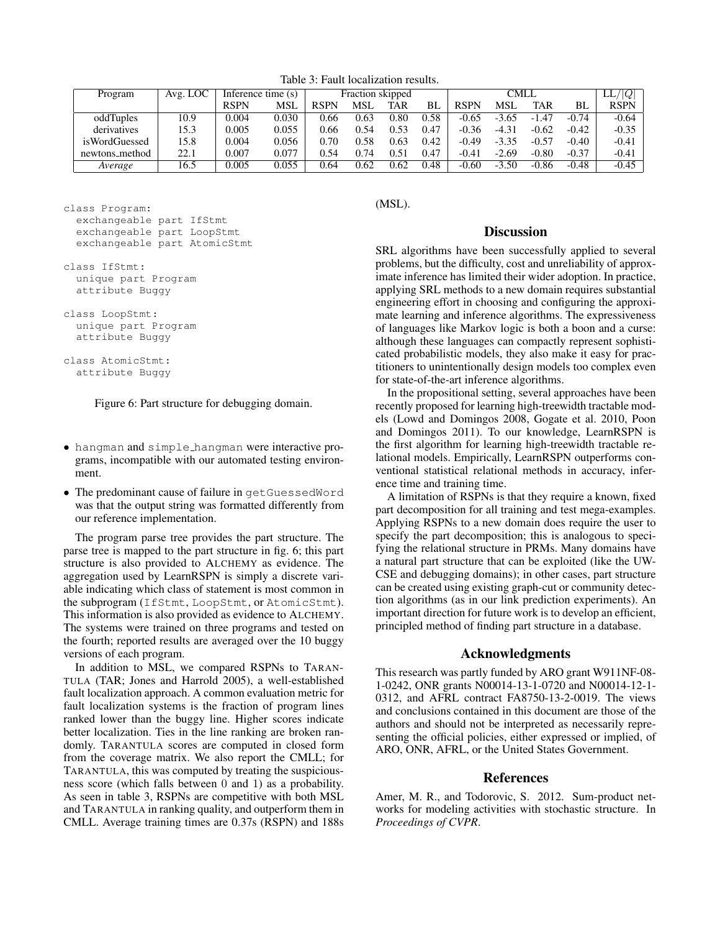Table 3: Fault localization results.

| Program        | Avg. LOC | Inference time (s) |            |             | Fraction skipped |               |      |             | Q <br>LL |         |         |             |
|----------------|----------|--------------------|------------|-------------|------------------|---------------|------|-------------|----------|---------|---------|-------------|
|                |          | <b>RSPN</b>        | <b>MSL</b> | <b>RSPN</b> | MSL              | TAR           | BI.  | <b>RSPN</b> | MSI      | TAR     | BL      | <b>RSPN</b> |
| oddTuples      | 10.9     | 0.004              | 0.030      | 0.66        | 0.63             | 0.80          | 0.58 | $-0.65$     | $-3.65$  | $-1.47$ | $-0.74$ | $-0.64$     |
| derivatives    | 15.3     | 0.005              | 0.055      | 0.66        | 0.54             | 0.53          | 0.47 | $-0.36$     | $-4.31$  | $-0.62$ | $-0.42$ | $-0.35$     |
| isWordGuessed  | 15.8     | 0.004              | 0.056      | 0.70        | 0.58             | 0.63          | 0.42 | $-0.49$     | $-3.35$  | $-0.57$ | -0.40   | $-0.41$     |
| newtons_method | 22.1     | 0.007              | 0.077      | 0.54        | 0.74             | $0.5^{\circ}$ | 0.47 | $-0.41$     | $-2.69$  | $-0.80$ | $-0.37$ | $-0.41$     |
| Average        | 16.5     | 0.005              | 0.055      | 9.64        | 0.62             | 0.62          | 0.48 | $-0.60$     | $-3.50$  | $-0.86$ | $-0.48$ | $-0.45$     |

```
class Program:
  exchangeable part IfStmt
  exchangeable part LoopStmt
  exchangeable part AtomicStmt
class IfStmt:
```

```
unique part Program
attribute Buggy
```

```
class LoopStmt:
  unique part Program
  attribute Buggy
```

```
class AtomicStmt:
  attribute Buggy
```
Figure 6: Part structure for debugging domain.

- hangman and simple hangman were interactive programs, incompatible with our automated testing environment.
- The predominant cause of failure in getGuessedWord was that the output string was formatted differently from our reference implementation.

The program parse tree provides the part structure. The parse tree is mapped to the part structure in fig. 6; this part structure is also provided to ALCHEMY as evidence. The aggregation used by LearnRSPN is simply a discrete variable indicating which class of statement is most common in the subprogram (IfStmt, LoopStmt, or AtomicStmt). This information is also provided as evidence to ALCHEMY. The systems were trained on three programs and tested on the fourth; reported results are averaged over the 10 buggy versions of each program.

In addition to MSL, we compared RSPNs to TARAN-TULA (TAR; Jones and Harrold 2005), a well-established fault localization approach. A common evaluation metric for fault localization systems is the fraction of program lines ranked lower than the buggy line. Higher scores indicate better localization. Ties in the line ranking are broken randomly. TARANTULA scores are computed in closed form from the coverage matrix. We also report the CMLL; for TARANTULA, this was computed by treating the suspiciousness score (which falls between 0 and 1) as a probability. As seen in table 3, RSPNs are competitive with both MSL and TARANTULA in ranking quality, and outperform them in CMLL. Average training times are 0.37s (RSPN) and 188s

(MSL).

### **Discussion**

SRL algorithms have been successfully applied to several problems, but the difficulty, cost and unreliability of approximate inference has limited their wider adoption. In practice, applying SRL methods to a new domain requires substantial engineering effort in choosing and configuring the approximate learning and inference algorithms. The expressiveness of languages like Markov logic is both a boon and a curse: although these languages can compactly represent sophisticated probabilistic models, they also make it easy for practitioners to unintentionally design models too complex even for state-of-the-art inference algorithms.

In the propositional setting, several approaches have been recently proposed for learning high-treewidth tractable models (Lowd and Domingos 2008, Gogate et al. 2010, Poon and Domingos 2011). To our knowledge, LearnRSPN is the first algorithm for learning high-treewidth tractable relational models. Empirically, LearnRSPN outperforms conventional statistical relational methods in accuracy, inference time and training time.

A limitation of RSPNs is that they require a known, fixed part decomposition for all training and test mega-examples. Applying RSPNs to a new domain does require the user to specify the part decomposition; this is analogous to specifying the relational structure in PRMs. Many domains have a natural part structure that can be exploited (like the UW-CSE and debugging domains); in other cases, part structure can be created using existing graph-cut or community detection algorithms (as in our link prediction experiments). An important direction for future work is to develop an efficient, principled method of finding part structure in a database.

## Acknowledgments

This research was partly funded by ARO grant W911NF-08- 1-0242, ONR grants N00014-13-1-0720 and N00014-12-1- 0312, and AFRL contract FA8750-13-2-0019. The views and conclusions contained in this document are those of the authors and should not be interpreted as necessarily representing the official policies, either expressed or implied, of ARO, ONR, AFRL, or the United States Government.

### References

Amer, M. R., and Todorovic, S. 2012. Sum-product networks for modeling activities with stochastic structure. In *Proceedings of CVPR*.